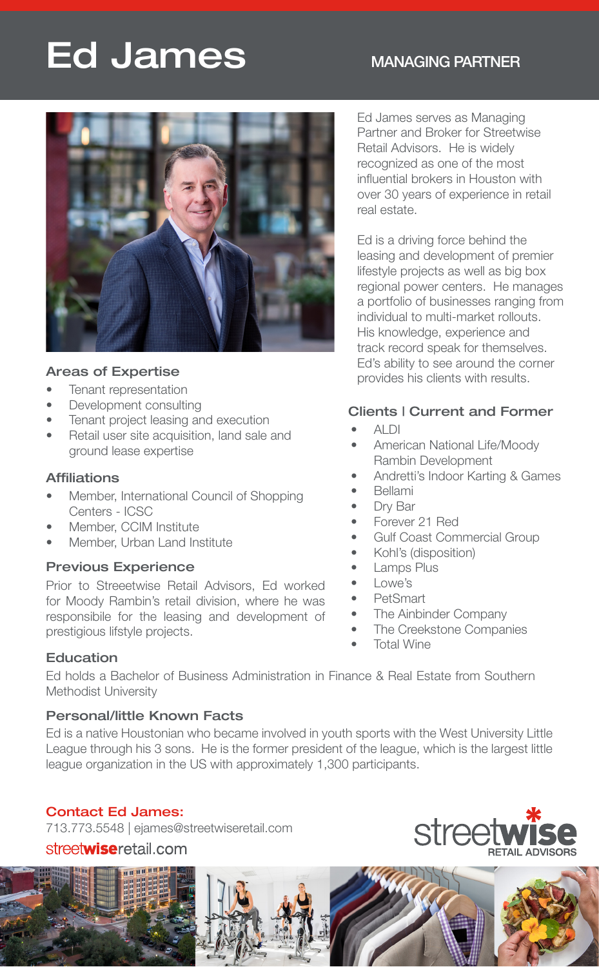# Ed James MANAGING PARTNER



#### Areas of Expertise

- 
- Development consulting
- Tenant project leasing and execution
- Retail user site acquisition, land sale and ground lease expertise

#### Affiliations

- Member, International Council of Shopping Centers - ICSC
- Member, CCIM Institute
- Member, Urban Land Institute

#### Previous Experience

Prior to Streeetwise Retail Advisors, Ed worked for Moody Rambin's retail division, where he was responsibile for the leasing and development of prestigious lifstyle projects.

Ed James serves as Managing Partner and Broker for Streetwise Retail Advisors. He is widely recognized as one of the most influential brokers in Houston with over 30 years of experience in retail real estate.

Ed is a driving force behind the leasing and development of premier lifestyle projects as well as big box regional power centers. He manages a portfolio of businesses ranging from individual to multi-market rollouts. His knowledge, experience and track record speak for themselves. Ed's ability to see around the corner **Pas of Expertise**<br>Tenant representation

#### Clients | Current and Former

- ALDI
- American National Life/Moody Rambin Development
- Andretti's Indoor Karting & Games
- Bellami
- Dry Bar
- Forever 21 Red
- Gulf Coast Commercial Group
- Kohl's (disposition)
- **Lamps Plus**
- Lowe's
- PetSmart
- The Ainbinder Company
- The Creekstone Companies
- **Total Wine**

#### **Education**

Ed holds a Bachelor of Business Administration in Finance & Real Estate from Southern Methodist University

#### Personal/little Known Facts

Ed is a native Houstonian who became involved in youth sports with the West University Little League through his 3 sons. He is the former president of the league, which is the largest little league organization in the US with approximately 1,300 participants.

### Contact Ed James:

713.773.5548 | ejames@streetwiseretail.com

## streetwiseretail.com